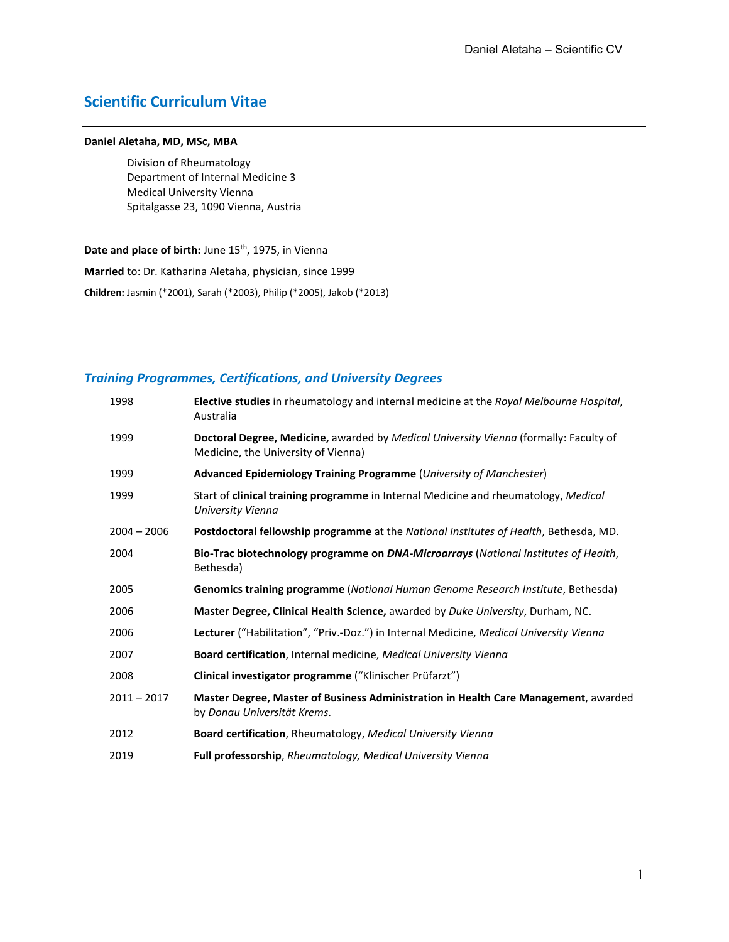# **Scientific Curriculum Vitae**

#### **Daniel Aletaha, MD, MSc, MBA**

Division of Rheumatology Department of Internal Medicine 3 Medical University Vienna Spitalgasse 23, 1090 Vienna, Austria

Date and place of birth: June 15<sup>th</sup>, 1975, in Vienna

**Married** to: Dr. Katharina Aletaha, physician, since 1999

**Children:** Jasmin (\*2001), Sarah (\*2003), Philip (\*2005), Jakob (\*2013)

# *Training Programmes, Certifications, and University Degrees*

| 1998          | Elective studies in rheumatology and internal medicine at the Royal Melbourne Hospital,<br>Australia                         |
|---------------|------------------------------------------------------------------------------------------------------------------------------|
| 1999          | Doctoral Degree, Medicine, awarded by Medical University Vienna (formally: Faculty of<br>Medicine, the University of Vienna) |
| 1999          | Advanced Epidemiology Training Programme (University of Manchester)                                                          |
| 1999          | Start of clinical training programme in Internal Medicine and rheumatology, Medical<br>University Vienna                     |
| $2004 - 2006$ | Postdoctoral fellowship programme at the National Institutes of Health, Bethesda, MD.                                        |
| 2004          | Bio-Trac biotechnology programme on DNA-Microarrays (National Institutes of Health,<br>Bethesda)                             |
| 2005          | Genomics training programme (National Human Genome Research Institute, Bethesda)                                             |
| 2006          | Master Degree, Clinical Health Science, awarded by Duke University, Durham, NC.                                              |
| 2006          | Lecturer ("Habilitation", "Priv.-Doz.") in Internal Medicine, Medical University Vienna                                      |
| 2007          | Board certification, Internal medicine, Medical University Vienna                                                            |
| 2008          | Clinical investigator programme ("Klinischer Prüfarzt")                                                                      |
| $2011 - 2017$ | Master Degree, Master of Business Administration in Health Care Management, awarded<br>by Donau Universität Krems.           |
| 2012          | Board certification, Rheumatology, Medical University Vienna                                                                 |
| 2019          | Full professorship, Rheumatology, Medical University Vienna                                                                  |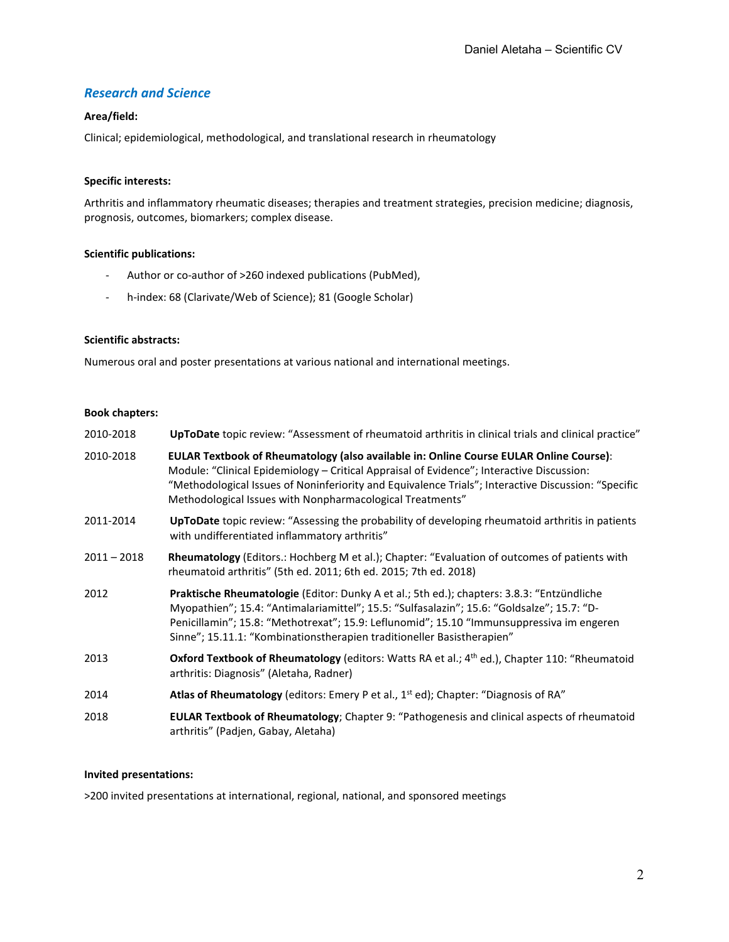# *Research and Science*

# **Area/field:**

Clinical; epidemiological, methodological, and translational research in rheumatology

# **Specific interests:**

Arthritis and inflammatory rheumatic diseases; therapies and treatment strategies, precision medicine; diagnosis, prognosis, outcomes, biomarkers; complex disease.

## **Scientific publications:**

- Author or co-author of >260 indexed publications (PubMed),
- h-index: 68 (Clarivate/Web of Science); 81 (Google Scholar)

# **Scientific abstracts:**

Numerous oral and poster presentations at various national and international meetings.

#### **Book chapters:**

| 2010-2018     | UpToDate topic review: "Assessment of rheumatoid arthritis in clinical trials and clinical practice"                                                                                                                                                                                                                                                            |
|---------------|-----------------------------------------------------------------------------------------------------------------------------------------------------------------------------------------------------------------------------------------------------------------------------------------------------------------------------------------------------------------|
| 2010-2018     | EULAR Textbook of Rheumatology (also available in: Online Course EULAR Online Course):<br>Module: "Clinical Epidemiology - Critical Appraisal of Evidence"; Interactive Discussion:<br>"Methodological Issues of Noninferiority and Equivalence Trials"; Interactive Discussion: "Specific<br>Methodological Issues with Nonpharmacological Treatments"         |
| 2011-2014     | UpToDate topic review: "Assessing the probability of developing rheumatoid arthritis in patients<br>with undifferentiated inflammatory arthritis"                                                                                                                                                                                                               |
| $2011 - 2018$ | Rheumatology (Editors.: Hochberg M et al.); Chapter: "Evaluation of outcomes of patients with<br>rheumatoid arthritis" (5th ed. 2011; 6th ed. 2015; 7th ed. 2018)                                                                                                                                                                                               |
| 2012          | Praktische Rheumatologie (Editor: Dunky A et al.; 5th ed.); chapters: 3.8.3: "Entzündliche<br>Myopathien"; 15.4: "Antimalariamittel"; 15.5: "Sulfasalazin"; 15.6: "Goldsalze"; 15.7: "D-<br>Penicillamin"; 15.8: "Methotrexat"; 15.9: Leflunomid"; 15.10 "Immunsuppressiva im engeren<br>Sinne"; 15.11.1: "Kombinationstherapien traditioneller Basistherapien" |
| 2013          | Oxford Textbook of Rheumatology (editors: Watts RA et al.; 4 <sup>th</sup> ed.), Chapter 110: "Rheumatoid<br>arthritis: Diagnosis" (Aletaha, Radner)                                                                                                                                                                                                            |
| 2014          | Atlas of Rheumatology (editors: Emery P et al., 1 <sup>st</sup> ed); Chapter: "Diagnosis of RA"                                                                                                                                                                                                                                                                 |
| 2018          | EULAR Textbook of Rheumatology; Chapter 9: "Pathogenesis and clinical aspects of rheumatoid<br>arthritis" (Padjen, Gabay, Aletaha)                                                                                                                                                                                                                              |

### **Invited presentations:**

>200 invited presentations at international, regional, national, and sponsored meetings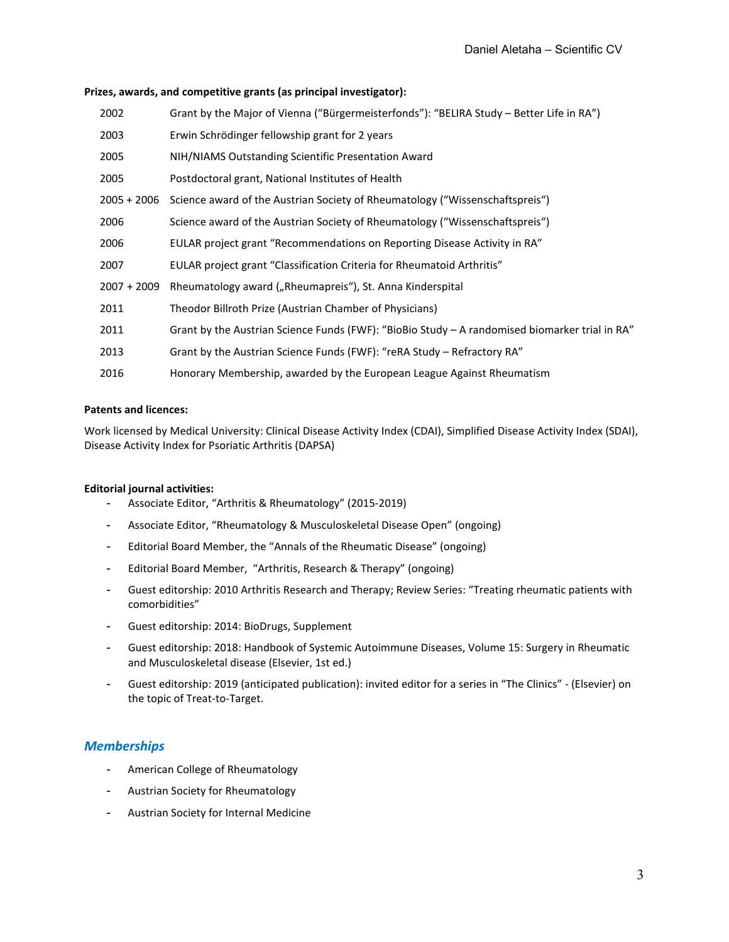# **Prizes, awards, and competitive grants (as principal investigator):**

| 2002          | Grant by the Major of Vienna ("Bürgermeisterfonds"): "BELIRA Study – Better Life in RA")         |
|---------------|--------------------------------------------------------------------------------------------------|
| 2003          | Erwin Schrödinger fellowship grant for 2 years                                                   |
| 2005          | NIH/NIAMS Outstanding Scientific Presentation Award                                              |
| 2005          | Postdoctoral grant, National Institutes of Health                                                |
| $2005 + 2006$ | Science award of the Austrian Society of Rheumatology ("Wissenschaftspreis")                     |
| 2006          | Science award of the Austrian Society of Rheumatology ("Wissenschaftspreis")                     |
| 2006          | EULAR project grant "Recommendations on Reporting Disease Activity in RA"                        |
| 2007          | EULAR project grant "Classification Criteria for Rheumatoid Arthritis"                           |
| $2007 + 2009$ | Rheumatology award ("Rheumapreis"), St. Anna Kinderspital                                        |
| 2011          | Theodor Billroth Prize (Austrian Chamber of Physicians)                                          |
| 2011          | Grant by the Austrian Science Funds (FWF): "BioBio Study $-$ A randomised biomarker trial in RA" |
| 2013          | Grant by the Austrian Science Funds (FWF): "reRA Study - Refractory RA"                          |
| 2016          | Honorary Membership, awarded by the European League Against Rheumatism                           |

# **Patents and licences:**

Work licensed by Medical University: Clinical Disease Activity Index (CDAI), Simplified Disease Activity Index (SDAI), Disease Activity Index for Psoriatic Arthritis (DAPSA)

# **Editorial journal activities:**

- Associate Editor, "Arthritis & Rheumatology" (2015-2019)
- Associate Editor, "Rheumatology & Musculoskeletal Disease Open" (ongoing)
- Editorial Board Member, the "Annals of the Rheumatic Disease" (ongoing)
- Editorial Board Member, "Arthritis, Research & Therapy" (ongoing)
- Guest editorship: 2010 Arthritis Research and Therapy; Review Series: "Treating rheumatic patients with comorbidities"
- Guest editorship: 2014: BioDrugs, Supplement
- Guest editorship: 2018: Handbook of Systemic Autoimmune Diseases, Volume 15: Surgery in Rheumatic and Musculoskeletal disease (Elsevier, 1st ed.)
- Guest editorship: 2019 (anticipated publication): invited editor for a series in "The Clinics" (Elsevier) on the topic of Treat-to-Target.

# *Memberships*

- American College of Rheumatology
- Austrian Society for Rheumatology
- Austrian Society for Internal Medicine